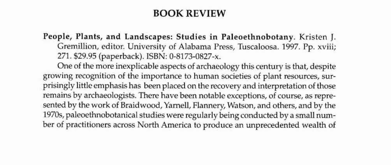## BOOK REVIEW

People, Plants, and Landscapes: Studies in Paleoethnobotany. Kristen J. Gremillion, editor. University of Alabama Press, Tuscaloosa. 1997. Pp. xviii; 271. \$29.95 (paperback). ISBN: O~8173-0827-x.

One of the more inexplicable aspects of archaeology this century is that, despite growing recognition of the importance to human societies of plant resources, surprisingly little emphasis has been placed on the recovery and interpretation of those remains by archaeologists. There have been notable exceptions, of course, as represented by the work of Braidwood, Yarnell, Flannery, Watson, and others, and by the 1970s, paleoethnobotanical studies were regularly being conducted by a small number of practitioners across North America to produce an unprecedented wealth of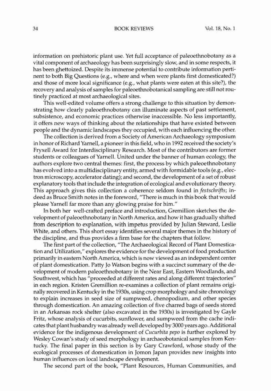34 BOOK REVIEWS Vol. 18, No.1

information on prehistoric plant use. Yet full acceptance of paleoethnobotany as a vital component of archaeology has been surprisingly slow, and in some respects, it has been ghettoized. Despite its immense potential to contribute information pertinent to both Big Questions (e.g., where and when were plants first domesticated?) and those of more local significance (e.g., what plants were eaten at this site?), the recovery and analysis of samples for paleoethnobotanical sampling are still not routinely practiced at most archaeological sites.

This well-edited volume offers a strong challenge to this situation by demonstrating how clearly paleoethnobotany can illuminate aspects of past settlement, subsistence, and economic practices otherwise inaccessible. No less importantly, it offers new ways of thinking about the relationships that have existed between people and the dynamic landscapes they occupied, with each influencing the other.

The collection is derived from a Society of American Archaeology symposium in honor of Richard Yarnell, a pioneer in this field, who in 1992 received the society's Fryxell Award for Interdisciplinary Research. Most of the contributors are former students or colleagues of Yarnell. United under the banner of human ecology, the authors explore two central themes: first, the process by which paleocthnobotany has evolved into a multidisciplinary entity, armed with formidable tools (e.g., electron microscopy, accelerator dating); and second, the development of a set of robust explanatory tools that include the integration of ecological and evolutionary theory. This approach gives this collection a coherence seldom found in *festscllrifts;* indeed as Bruce Smith notes in the foreword, "There is much in this book. that would please Yarnell far more than any glowing praise for him."

In both her well-crafted preface and introduction, Gremillion sketches the development of paleoethnobotany in North America, and how it has gradually shifted from description to explanation, with impetus provided by Julian Steward, Leslie White, and others. This short essay identifies several major themes in the history of the discipline, and thus provides a firm base for the chapters that follow.

The first part of the collection, "The Archaeological Record of Plant Domestication and Utilization," explores the evidence for the development of food. production primarily in eastern North America, which is now viewed as an independent center of plant domestication. Patty Jo Watson begins with a succinct summary of the development of modem paleoethnobotany in the Near East, Eastern Woodlands, and Southwest, which has "proceeded at different rates and along different trajectories" in each region. Kristen Gremillion re-examines a collection of plant remains origi· nally recovered in Kentucky in the 1930s, using crop morphology and site chronology to explain increases in seed size of sumpweed, chenopodium, and other species through domestication. An amazing collection of five charred bags of seeds stored in an Arkansas rock shelter (also excavated in the 19305) is investigated by Cayle Fritz, whose analysis of cucurbits, sunflower, and sumpweed from the: cache indicates that plant husbandry was already well developed by 3000 years ago. Additional evidence for the indigenous development of *Cucurbita pepo* is further explored by Wesley Cowan's study of seed morphology in archaeobotanical samples from Kentucky. The final paper in this section is by Gary Crawford, whose study of the ecological processes of domestication in Jomon Japan provides new insights into human influences on local landscape development.

The second part of the book, "Plant Resources, Human Communities, and